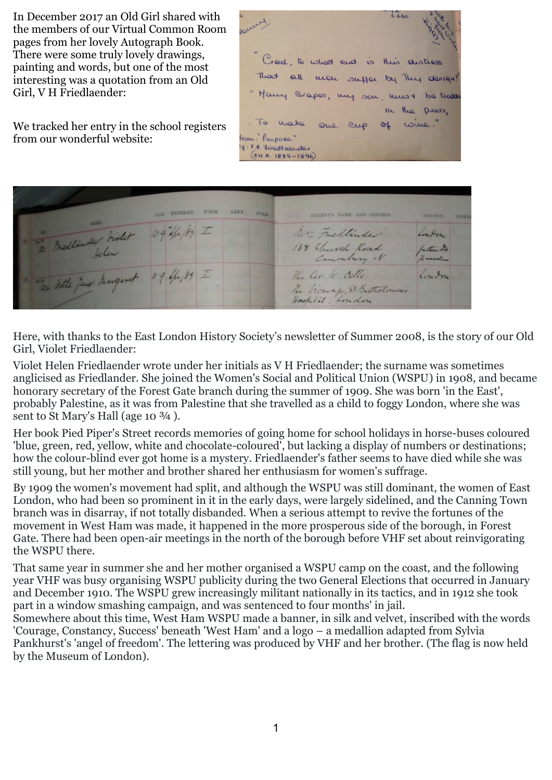In December 2017 an Old Girl shared with the members of our Virtual Common Room pages from her lovely Autograph Book. There were some truly lovely drawings, painting and words, but one of the most interesting was a quotation from an Old Girl, V H Friedlaender:

We tracked her entry in the school registers from our wonderful website:

 $6.6.60$ Crea, to what end  $\overline{u}$ His disting That  $Q$ man suller  $b$ They design "Homy Grapes, my son, be trodd kus 1 In the Diess.  $\Gamma$ unke wine." cup  $O<sub>4</sub>$ from :" Purpose" 4: K.H. Friedlasuder  $$9.11.1889 - 1896$ 



Here, with thanks to the East London History Society's newsletter of Summer 2008, is the story of our Old Girl, Violet Friedlaender:

Violet Helen Friedlaender wrote under her initials as V H Friedlaender; the surname was sometimes anglicised as Friedlander. She joined the Women's Social and Political Union (WSPU) in 1908, and became honorary secretary of the Forest Gate branch during the summer of 1909. She was born 'in the East', probably Palestine, as it was from Palestine that she travelled as a child to foggy London, where she was sent to St Mary's Hall (age 10  $\frac{3}{4}$ ).

Her book Pied Piper's Street records memories of going home for school holidays in horse-buses coloured 'blue, green, red, yellow, white and chocolate-coloured', but lacking a display of numbers or destinations; how the colour-blind ever got home is a mystery. Friedlaender's father seems to have died while she was still young, but her mother and brother shared her enthusiasm for women's suffrage.

By 1909 the women's movement had split, and although the WSPU was still dominant, the women of East London, who had been so prominent in it in the early days, were largely sidelined, and the Canning Town branch was in disarray, if not totally disbanded. When a serious attempt to revive the fortunes of the movement in West Ham was made, it happened in the more prosperous side of the borough, in Forest Gate. There had been open-air meetings in the north of the borough before VHF set about reinvigorating the WSPU there.

That same year in summer she and her mother organised a WSPU camp on the coast, and the following year VHF was busy organising WSPU publicity during the two General Elections that occurred in January and December 1910. The WSPU grew increasingly militant nationally in its tactics, and in 1912 she took part in a window smashing campaign, and was sentenced to four months' in jail.

Somewhere about this time, West Ham WSPU made a banner, in silk and velvet, inscribed with the words 'Courage, Constancy, Success' beneath 'West Ham' and a logo – a medallion adapted from Sylvia Pankhurst's 'angel of freedom'. The lettering was produced by VHF and her brother. (The flag is now held by the Museum of London).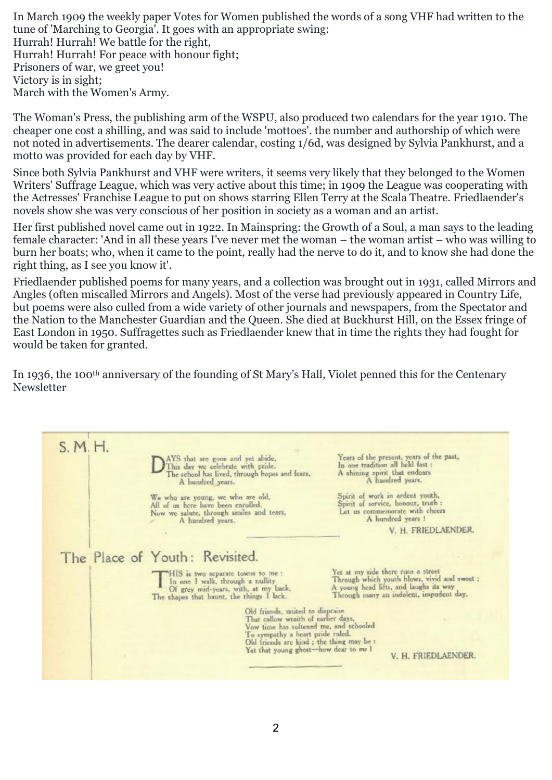In March 1909 the weekly paper Votes for Women published the words of a song VHF had written to the tune of 'Marching to Georgia'. It goes with an appropriate swing: Hurrah! Hurrah! We battle for the right, Hurrah! Hurrah! For peace with honour fight; Prisoners of war, we greet you! Victory is in sight; March with the Women's Army.

The Woman's Press, the publishing arm of the WSPU, also produced two calendars for the year 1910. The cheaper one cost a shilling, and was said to include 'mottoes'. the number and authorship of which were not noted in advertisements. The dearer calendar, costing 1/6d, was designed by Sylvia Pankhurst, and a motto was provided for each day by VHF.

Since both Sylvia Pankhurst and VHF were writers, it seems very likely that they belonged to the Women Writers' Suffrage League, which was very active about this time; in 1909 the League was cooperating with the Actresses' Franchise League to put on shows starring Ellen Terry at the Scala Theatre. Friedlaender's novels show she was very conscious of her position in society as a woman and an artist.

Her first published novel came out in 1922. In Mainspring: the Growth of a Soul, a man says to the leading female character: 'And in all these years I've never met the woman – the woman artist – who was willing to burn her boats; who, when it came to the point, really had the nerve to do it, and to know she had done the right thing, as I see you know it'.

Friedlaender published poems for many years, and a collection was brought out in 1931, called Mirrors and Angles (often miscalled Mirrors and Angels). Most of the verse had previously appeared in Country Life, but poems were also culled from a wide variety of other journals and newspapers, from the Spectator and the Nation to the Manchester Guardian and the Queen. She died at Buckhurst Hill, on the Essex fringe of East London in 1950. Suffragettes such as Friedlaender knew that in time the rights they had fought for would be taken for granted.

In 1936, the 100th anniversary of the founding of St Mary's Hall, Violet penned this for the Centenary Newsletter

 $S.M.H.$ Years of the present, years of the past, AYS that are gone and yet abide, In one tradition all held fast : This day we celebrate with pride. A shining spirit that endears The school has lived, through hopes and fears, A hundred years. Spirit of work in ardent youth, We who are young, we who are old, Spirit of service, honour, truth : All of us here have been enrolled. Let us commemorate with cheers Now we salute, through smiles and tears, A hundred years 1 A hundred years. V. H. FRIEDLAENDER. The Place of Youth: Revisited. HIS is two separate towas to me :<br>In one I walk, through a nullity<br>Of grey mid-years, with, at my back,<br>The shapes that haunt, the things I lack. Yet at my side there runs a street Through which youth blows, vivid and sweet :<br>A young head lifts, and laughs its way<br>Through many an indolent, impudent day. Old friends, united to dispraise That callow wraith of earlier days, Vow time has softened me, and schooled To sympathy a heart pride ruled. Old friends are kind; the thing may be : Yet that young ghost-how dear to me I V. H. FRIEDLAENDER.